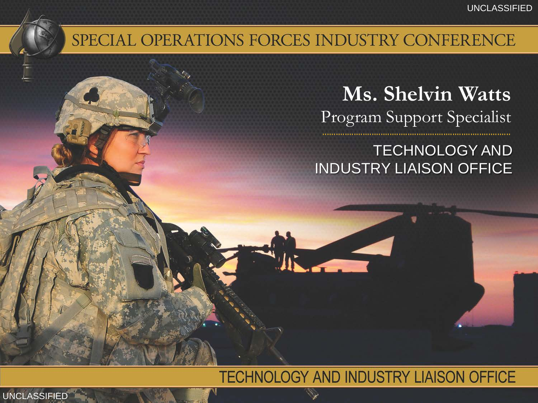#### SPECIAL OPERATIONS FORCES INDUSTRY CONFERENCE

### **Ms. Shelvin Watts** Program Support Specialist

#### TECHNOLOGY AND INDUSTRY LIAISON OFFICE

#### TECHNOLOGY AND INDUSTRY LIAISON OFFICE

UNCLASSIFIED UNCLASSIFIED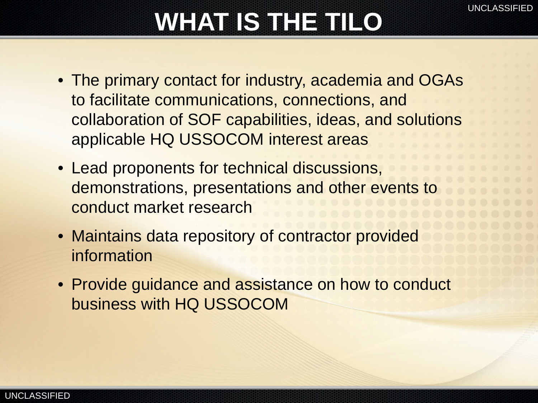# **WHAT IS THE TILO**

- The primary contact for industry, academia and OGAs to facilitate communications, connections, and collaboration of SOF capabilities, ideas, and solutions applicable HQ USSOCOM interest areas
- Lead proponents for technical discussions, demonstrations, presentations and other events to conduct market research
- Maintains data repository of contractor provided information
- Provide guidance and assistance on how to conduct business with HQ USSOCOM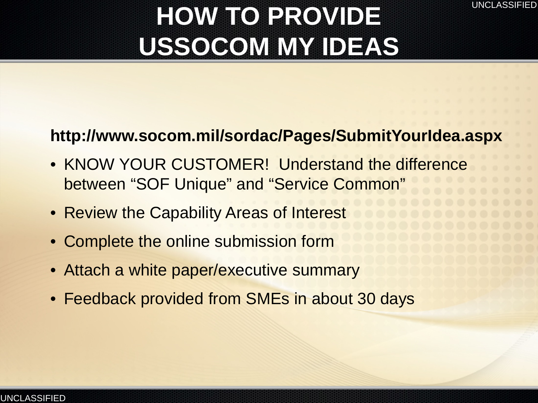## **HOW TO PROVIDE USSOCOM MY IDEAS**

#### **http://www.socom.mil/sordac/Pages/SubmitYourIdea.aspx**

- KNOW YOUR CUSTOMER! Understand the difference between "SOF Unique" and "Service Common"
- Review the Capability Areas of Interest
- Complete the online submission form
- Attach a white paper/executive summary
- Feedback provided from SMEs in about 30 days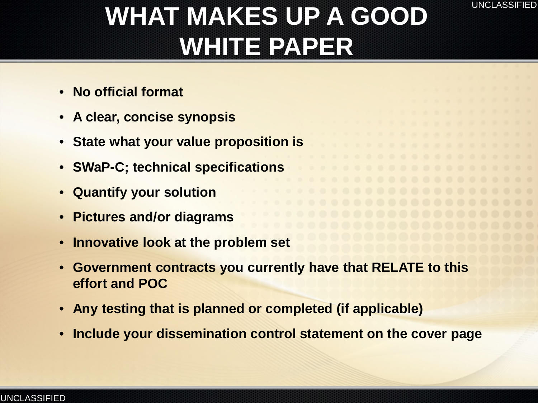

## **WHAT MAKES UP A GOOD WHITE PAPER**

- **No official format**
- **A clear, concise synopsis**
- **State what your value proposition is**
- **SWaP-C; technical specifications**
- **Quantify your solution**
- **Pictures and/or diagrams**
- **Innovative look at the problem set**
- **Government contracts you currently have that RELATE to this effort and POC**
- **Any testing that is planned or completed (if applicable)**
- **Include your dissemination control statement on the cover page**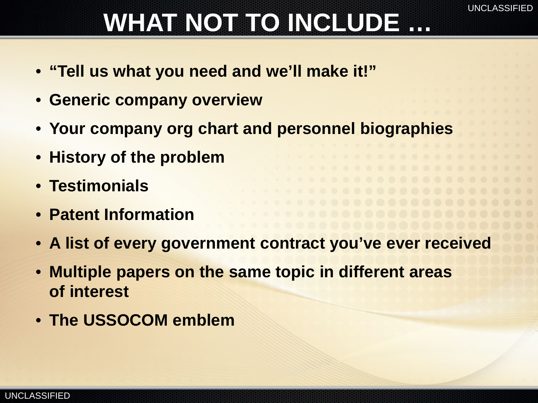# **WHAT NOT TO INCLUDE …**

- **"Tell us what you need and we'll make it!"**
- **Generic company overview**
- **Your company org chart and personnel biographies**
- **History of the problem**
- **Testimonials**
- **Patent Information**
- **A list of every government contract you've ever received**
- **Multiple papers on the same topic in different areas of interest**
- **The USSOCOM emblem**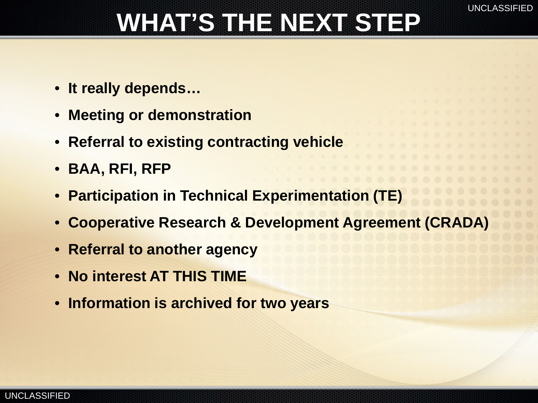# **WHAT'S THE NEXT STEP**

- **It really depends…**
- **Meeting or demonstration**
- **Referral to existing contracting vehicle**
- **BAA, RFI, RFP**
- **Participation in Technical Experimentation (TE)**
- **Cooperative Research & Development Agreement (CRADA)**
- **Referral to another agency**
- **No interest AT THIS TIME**
- **Information is archived for two years**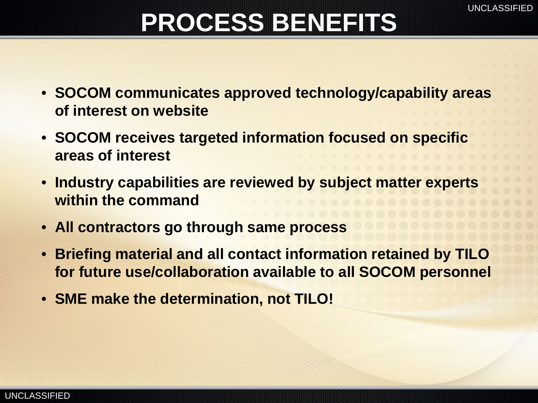## **PROCESS BENEFITS**

- **SOCOM communicates approved technology/capability areas of interest on website**
- **SOCOM receives targeted information focused on specific areas of interest**
- **Industry capabilities are reviewed by subject matter experts within the command**
- **All contractors go through same process**
- **Briefing material and all contact information retained by TILO for future use/collaboration available to all SOCOM personnel**
- **SME make the determination, not TILO!**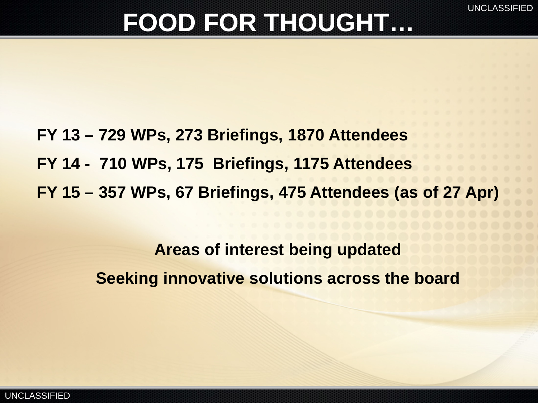### **FOOD FOR THOUGHT…**

**FY 13 – 729 WPs, 273 Briefings, 1870 Attendees FY 14 - 710 WPs, 175 Briefings, 1175 Attendees FY 15 – 357 WPs, 67 Briefings, 475 Attendees (as of 27 Apr)**

> **Areas of interest being updated Seeking innovative solutions across the board**